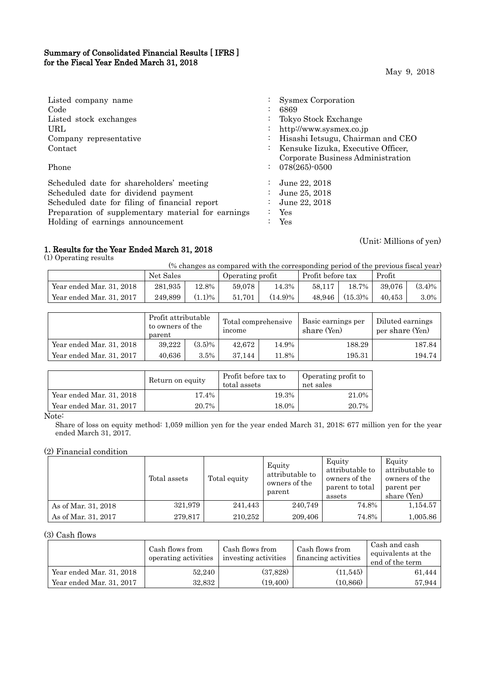## Summary of Consolidated Financial Results [ IFRS ] for the Fiscal Year Ended March 31, 2018

May 9, 2018

| Listed company name                                | $\ddot{\phantom{0}}$ | Sysmex Corporation                 |
|----------------------------------------------------|----------------------|------------------------------------|
| Code                                               |                      | 6869                               |
| Listed stock exchanges                             | $\bullet$            | Tokyo Stock Exchange               |
| URL.                                               | $\bullet$            | http://www.sysmex.co.jp            |
| Company representative                             |                      | Hisashi Ietsugu, Chairman and CEO  |
| Contact                                            | $\ddot{\phantom{0}}$ | Kensuke Iizuka, Executive Officer, |
|                                                    |                      | Corporate Business Administration  |
| Phone                                              |                      | $: 078(265) \cdot 0500$            |
| Scheduled date for shareholders' meeting           |                      | June 22, 2018                      |
| Scheduled date for dividend payment                |                      | June 25, 2018                      |
| Scheduled date for filing of financial report      | $\bullet$            | June 22, 2018                      |
| Preparation of supplementary material for earnings |                      | Yes                                |
| Holding of earnings announcement                   |                      | Yes                                |

## 1. Results for the Year Ended March 31, 2018

(1) Operating results

(Unit: Millions of yen)

| (% changes as compared with the corresponding period of the previous fiscal year) |           |           |                  |            |                   |              |        |           |
|-----------------------------------------------------------------------------------|-----------|-----------|------------------|------------|-------------------|--------------|--------|-----------|
|                                                                                   | Net Sales |           | Operating profit |            | Profit before tax |              | Profit |           |
| Year ended Mar. 31, 2018                                                          | 281.935   | 12.8%     | 59.078           | 14.3%      | 58.117            | $18.7\%$     | 39.076 | $(3.4)\%$ |
| Year ended Mar. 31, 2017                                                          | 249.899   | $(1.1)\%$ | 51.701           | $(14.9)\%$ | 48.946            | $(15.3)\%$ 1 | 40.453 | 3.0%      |

|                          | Profit attributable<br>to owners of the<br>parent |           | Total comprehensive<br>income |       | Basic earnings per<br>share (Yen) | Diluted earnings<br>per share (Yen) |
|--------------------------|---------------------------------------------------|-----------|-------------------------------|-------|-----------------------------------|-------------------------------------|
| Year ended Mar. 31, 2018 | 39,222                                            | $(3.5)\%$ | 42.672                        | 14.9% | 188.29                            | 187.84                              |
| Year ended Mar. 31, 2017 | 40.636                                            | $3.5\%$   | 37.144                        | 11.8% | 195.31                            | 194.74                              |

|                          | Return on equity | Profit before tax to<br>total assets | Operating profit to<br>net sales |  |
|--------------------------|------------------|--------------------------------------|----------------------------------|--|
| Year ended Mar. 31, 2018 | 17.4%            | 19.3%                                | 21.0%                            |  |
| Year ended Mar. 31, 2017 | 20.7%            | 18.0%                                | 20.7%                            |  |

Note:

Share of loss on equity method: 1,059 million yen for the year ended March 31, 2018; 677 million yen for the year ended March 31, 2017.

## (2) Financial condition

|                     | Total assets | Total equity | Equity<br>attributable to<br>owners of the<br>parent | Equity<br>attributable to<br>owners of the<br>parent to total<br>assets | Equity<br>attributable to<br>owners of the<br>parent per<br>share (Yen) |
|---------------------|--------------|--------------|------------------------------------------------------|-------------------------------------------------------------------------|-------------------------------------------------------------------------|
| As of Mar. 31, 2018 | 321,979      | 241,443      | 240,749                                              | 74.8%                                                                   | 1,154.57                                                                |
| As of Mar. 31, 2017 | 279,817      | 210,252      | 209,406                                              | 74.8%                                                                   | 1,005.86                                                                |

(3) Cash flows

I

|                          | Cash flows from<br>operating activities | Cash flows from<br>investing activities | Cash flows from<br>financing activities | Cash and cash<br>equivalents at the<br>end of the term |
|--------------------------|-----------------------------------------|-----------------------------------------|-----------------------------------------|--------------------------------------------------------|
| Year ended Mar. 31, 2018 | 52,240                                  | (37, 828)                               | (11, 545)                               | 61,444                                                 |
| Year ended Mar. 31, 2017 | 32,832                                  | (19, 400)                               | (10, 866)                               | 57,944                                                 |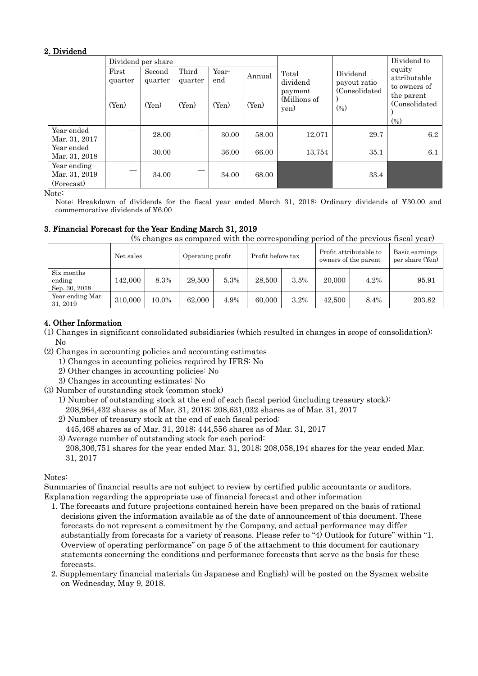## 2. Dividend

|                                            |                  | Dividend per share |                  |              |        |                                 | Dividend to                                         |                                        |
|--------------------------------------------|------------------|--------------------|------------------|--------------|--------|---------------------------------|-----------------------------------------------------|----------------------------------------|
|                                            | First<br>quarter | Second<br>quarter  | Third<br>quarter | Year-<br>end | Annual | Total<br>dividend               | Dividend<br>payout ratio<br>(Consolidated)<br>(0/0) | equity<br>attributable<br>to owners of |
|                                            | (Yen)            | (Yen)              | (Yen)            | (Yen)        | (Yen)  | payment<br>(Millions of<br>yen) |                                                     | the parent<br>(Consolidated)<br>(%)    |
| Year ended<br>Mar. 31, 2017                |                  | 28.00              |                  | 30.00        | 58.00  | 12,071                          | 29.7                                                | 6.2                                    |
| Year ended<br>Mar. 31, 2018                |                  | 30.00              |                  | 36.00        | 66.00  | 13,754                          | 35.1                                                | 6.1                                    |
| Year ending<br>Mar. 31, 2019<br>(Forecast) |                  | 34.00              |                  | 34.00        | 68.00  |                                 | 33.4                                                |                                        |

Note:

Note: Breakdown of dividends for the fiscal year ended March 31, 2018: Ordinary dividends of ¥30.00 and commemorative dividends of ¥6.00

## 3. Financial Forecast for the Year Ending March 31, 2019

(% changes as compared with the corresponding period of the previous fiscal year)

|                                       | Net sales |       | Operating profit |      | Profit before tax |      | Profit attributable to<br>owners of the parent |      | Basic earnings<br>per share (Yen) |
|---------------------------------------|-----------|-------|------------------|------|-------------------|------|------------------------------------------------|------|-----------------------------------|
| Six months<br>ending<br>Sep. 30, 2018 | 142,000   | 8.3%  | 29,500           | 5.3% | 28,500            | 3.5% | 20,000                                         | 4.2% | 95.91                             |
| Year ending Mar.<br>31, 2019          | 310,000   | 10.0% | 62,000           | 4.9% | 60,000            | 3.2% | 42,500                                         | 8.4% | 203.82                            |

# 4. Other Information

- (1) Changes in significant consolidated subsidiaries (which resulted in changes in scope of consolidation): No
- (2) Changes in accounting policies and accounting estimates
	- 1) Changes in accounting policies required by IFRS: No
		- 2) Other changes in accounting policies: No
		- 3) Changes in accounting estimates: No
- (3) Number of outstanding stock (common stock)
	- 1) Number of outstanding stock at the end of each fiscal period (including treasury stock): 208,964,432 shares as of Mar. 31, 2018; 208,631,032 shares as of Mar. 31, 2017
	- 2) Number of treasury stock at the end of each fiscal period:
	- 445,468 shares as of Mar. 31, 2018; 444,556 shares as of Mar. 31, 2017
	- 3) Average number of outstanding stock for each period: 208,306,751 shares for the year ended Mar. 31, 2018; 208,058,194 shares for the year ended Mar. 31, 2017

## Notes:

Summaries of financial results are not subject to review by certified public accountants or auditors. Explanation regarding the appropriate use of financial forecast and other information

- 1. The forecasts and future projections contained herein have been prepared on the basis of rational decisions given the information available as of the date of announcement of this document. These forecasts do not represent a commitment by the Company, and actual performance may differ substantially from forecasts for a variety of reasons. Please refer to "4) Outlook for future" within "1. Overview of operating performance" on page 5 of the attachment to this document for cautionary statements concerning the conditions and performance forecasts that serve as the basis for these forecasts.
- 2. Supplementary financial materials (in Japanese and English) will be posted on the Sysmex website on Wednesday, May 9, 2018.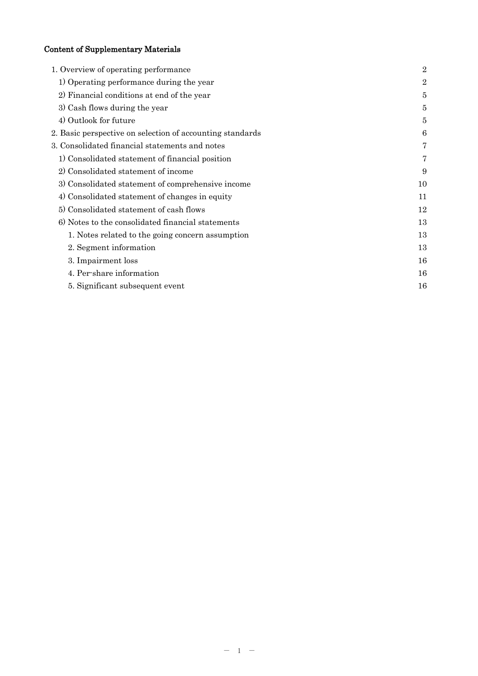# Content of Supplementary Materials

| 1. Overview of operating performance                      | $\overline{2}$ |
|-----------------------------------------------------------|----------------|
| 1) Operating performance during the year                  | $\overline{2}$ |
| 2) Financial conditions at end of the year                | 5              |
| 3) Cash flows during the year                             | 5              |
| 4) Outlook for future                                     | 5              |
| 2. Basic perspective on selection of accounting standards | 6              |
| 3. Consolidated financial statements and notes            | 7              |
| 1) Consolidated statement of financial position           | 7              |
| 2) Consolidated statement of income                       | 9              |
| 3) Consolidated statement of comprehensive income         | 10             |
| 4) Consolidated statement of changes in equity            | 11             |
| 5) Consolidated statement of cash flows                   | 12             |
| 6) Notes to the consolidated financial statements         | 13             |
| 1. Notes related to the going concern assumption          | 13             |
| 2. Segment information                                    | 13             |
| 3. Impairment loss                                        | 16             |
| 4. Per-share information                                  | 16             |
| 5. Significant subsequent event                           | 16             |
|                                                           |                |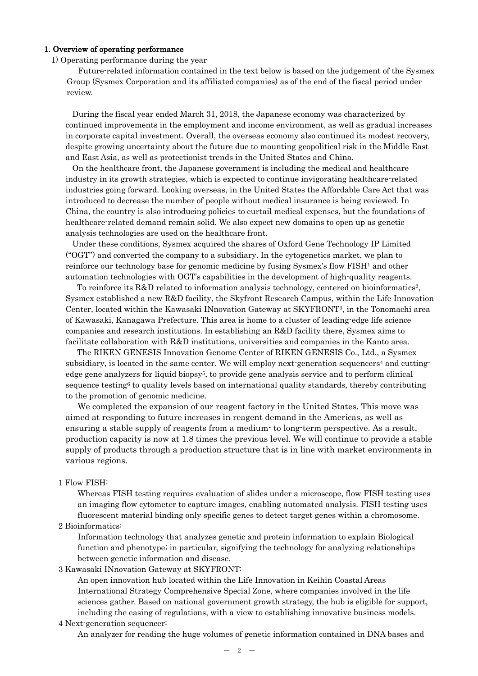### 1. Overview of operating performance

1) Operating performance during the year

Future-related information contained in the text below is based on the judgement of the Sysmex Group (Sysmex Corporation and its affiliated companies) as of the end of the fiscal period under review.

During the fiscal year ended March 31, 2018, the Japanese economy was characterized by continued improvements in the employment and income environment, as well as gradual increases in corporate capital investment. Overall, the overseas economy also continued its modest recovery, despite growing uncertainty about the future due to mounting geopolitical risk in the Middle East and East Asia, as well as protectionist trends in the United States and China.

On the healthcare front, the Japanese government is including the medical and healthcare industry in its growth strategies, which is expected to continue invigorating healthcare-related industries going forward. Looking overseas, in the United States the Affordable Care Act that was introduced to decrease the number of people without medical insurance is being reviewed. In China, the country is also introducing policies to curtail medical expenses, but the foundations of healthcare-related demand remain solid. We also expect new domains to open up as genetic analysis technologies are used on the healthcare front.

Under these conditions, Sysmex acquired the shares of Oxford Gene Technology IP Limited ("OGT") and converted the company to a subsidiary. In the cytogenetics market, we plan to reinforce our technology base for genomic medicine by fusing Sysmex's flow FISH1 and other automation technologies with OGT's capabilities in the development of high-quality reagents.

To reinforce its R&D related to information analysis technology, centered on bioinformatics<sup>2</sup>, Sysmex established a new R&D facility, the Skyfront Research Campus, within the Life Innovation Center, located within the Kawasaki INnovation Gateway at SKYFRONT3, in the Tonomachi area of Kawasaki, Kanagawa Prefecture. This area is home to a cluster of leading-edge life science companies and research institutions. In establishing an R&D facility there, Sysmex aims to facilitate collaboration with R&D institutions, universities and companies in the Kanto area.

The RIKEN GENESIS Innovation Genome Center of RIKEN GENESIS Co., Ltd., a Sysmex subsidiary, is located in the same center. We will employ next-generation sequencers<sup>4</sup> and cuttingedge gene analyzers for liquid biopsy<sup>5</sup>, to provide gene analysis service and to perform clinical sequence testing<sup>6</sup> to quality levels based on international quality standards, thereby contributing to the promotion of genomic medicine.

We completed the expansion of our reagent factory in the United States. This move was aimed at responding to future increases in reagent demand in the Americas, as well as ensuring a stable supply of reagents from a medium- to long-term perspective. As a result, production capacity is now at 1.8 times the previous level. We will continue to provide a stable supply of products through a production structure that is in line with market environments in various regions.

## 1 Flow FISH:

Whereas FISH testing requires evaluation of slides under a microscope, flow FISH testing uses an imaging flow cytometer to capture images, enabling automated analysis. FISH testing uses fluorescent material binding only specific genes to detect target genes within a chromosome.

## 2 Bioinformatics:

Information technology that analyzes genetic and protein information to explain Biological function and phenotype; in particular, signifying the technology for analyzing relationships between genetic information and disease.

3 Kawasaki INnovation Gateway at SKYFRONT:

An open innovation hub located within the Life Innovation in Keihin Coastal Areas International Strategy Comprehensive Special Zone, where companies involved in the life sciences gather. Based on national government growth strategy, the hub is eligible for support, including the easing of regulations, with a view to establishing innovative business models.

#### 4 Next-generation sequencer:

An analyzer for reading the huge volumes of genetic information contained in DNA bases and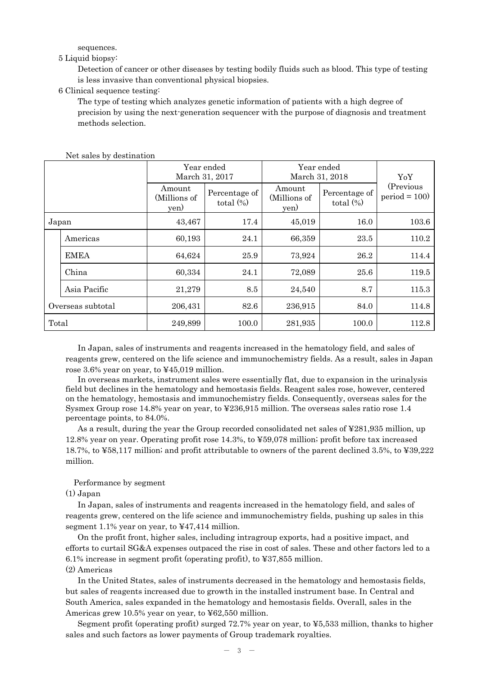sequences.

#### 5 Liquid biopsy:

Detection of cancer or other diseases by testing bodily fluids such as blood. This type of testing is less invasive than conventional physical biopsies.

### 6 Clinical sequence testing:

The type of testing which analyzes genetic information of patients with a high degree of precision by using the next-generation sequencer with the purpose of diagnosis and treatment methods selection.

|                   |              |                                | Year ended<br>March 31, 2017  | Year ended<br>March 31, 2018   | YoY                           |                              |
|-------------------|--------------|--------------------------------|-------------------------------|--------------------------------|-------------------------------|------------------------------|
|                   |              | Amount<br>(Millions of<br>yen) | Percentage of<br>total $(\%)$ | Amount<br>(Millions of<br>yen) | Percentage of<br>total $(\%)$ | (Previous)<br>$period = 100$ |
| Japan             |              | 43,467                         | 17.4                          | 45,019                         | 16.0                          | 103.6                        |
|                   | Americas     | 60,193                         | 24.1                          | 66,359                         | 23.5                          | 110.2                        |
|                   | <b>EMEA</b>  | 64,624                         | 25.9                          | 73,924                         | 26.2                          | 114.4                        |
|                   | China        | 60,334                         | 24.1                          | 72,089                         | 25.6                          | 119.5                        |
|                   | Asia Pacific | 21,279                         | 8.5                           | 24,540                         | 8.7                           | 115.3                        |
| Overseas subtotal |              | 206,431                        | 82.6                          | 236,915                        | 84.0                          | 114.8                        |
| Total             |              | 249,899                        | 100.0                         | 281,935                        | 100.0                         | 112.8                        |

Net sales by destination

In Japan, sales of instruments and reagents increased in the hematology field, and sales of reagents grew, centered on the life science and immunochemistry fields. As a result, sales in Japan rose 3.6% year on year, to ¥45,019 million.

In overseas markets, instrument sales were essentially flat, due to expansion in the urinalysis field but declines in the hematology and hemostasis fields. Reagent sales rose, however, centered on the hematology, hemostasis and immunochemistry fields. Consequently, overseas sales for the Sysmex Group rose 14.8% year on year, to ¥236,915 million. The overseas sales ratio rose 1.4 percentage points, to 84.0%.

As a result, during the year the Group recorded consolidated net sales of ¥281,935 million, up 12.8% year on year. Operating profit rose 14.3%, to ¥59,078 million; profit before tax increased 18.7%, to ¥58,117 million; and profit attributable to owners of the parent declined 3.5%, to ¥39,222 million.

#### Performance by segment

(1) Japan

In Japan, sales of instruments and reagents increased in the hematology field, and sales of reagents grew, centered on the life science and immunochemistry fields, pushing up sales in this segment 1.1% year on year, to ¥47,414 million.

On the profit front, higher sales, including intragroup exports, had a positive impact, and efforts to curtail SG&A expenses outpaced the rise in cost of sales. These and other factors led to a 6.1% increase in segment profit (operating profit), to ¥37,855 million. (2) Americas

In the United States, sales of instruments decreased in the hematology and hemostasis fields, but sales of reagents increased due to growth in the installed instrument base. In Central and South America, sales expanded in the hematology and hemostasis fields. Overall, sales in the Americas grew 10.5% year on year, to ¥62,550 million.

Segment profit (operating profit) surged 72.7% year on year, to ¥5,533 million, thanks to higher sales and such factors as lower payments of Group trademark royalties.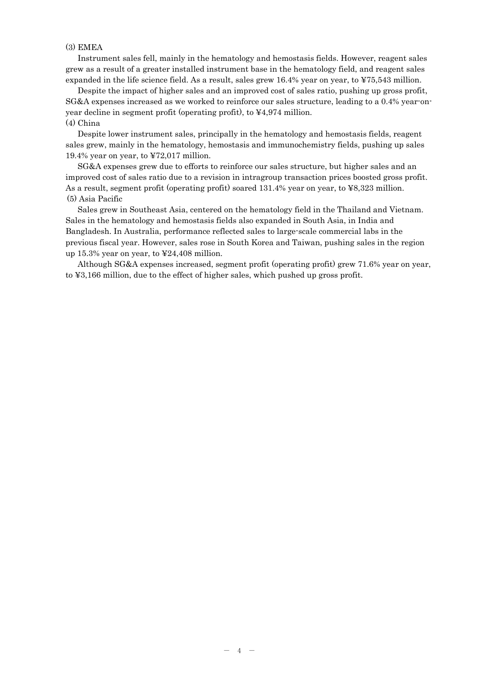### (3) EMEA

Instrument sales fell, mainly in the hematology and hemostasis fields. However, reagent sales grew as a result of a greater installed instrument base in the hematology field, and reagent sales expanded in the life science field. As a result, sales grew 16.4% year on year, to ¥75,543 million.

Despite the impact of higher sales and an improved cost of sales ratio, pushing up gross profit, SG&A expenses increased as we worked to reinforce our sales structure, leading to a 0.4% year-onyear decline in segment profit (operating profit), to ¥4,974 million. (4) China

Despite lower instrument sales, principally in the hematology and hemostasis fields, reagent sales grew, mainly in the hematology, hemostasis and immunochemistry fields, pushing up sales 19.4% year on year, to ¥72,017 million.

SG&A expenses grew due to efforts to reinforce our sales structure, but higher sales and an improved cost of sales ratio due to a revision in intragroup transaction prices boosted gross profit. As a result, segment profit (operating profit) soared 131.4% year on year, to ¥8,323 million. (5) Asia Pacific

Sales grew in Southeast Asia, centered on the hematology field in the Thailand and Vietnam. Sales in the hematology and hemostasis fields also expanded in South Asia, in India and Bangladesh. In Australia, performance reflected sales to large-scale commercial labs in the previous fiscal year. However, sales rose in South Korea and Taiwan, pushing sales in the region up 15.3% year on year, to ¥24,408 million.

Although SG&A expenses increased, segment profit (operating profit) grew 71.6% year on year, to ¥3,166 million, due to the effect of higher sales, which pushed up gross profit.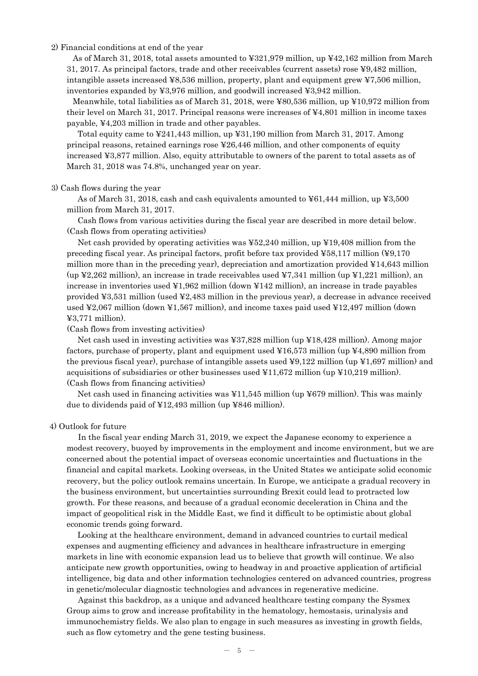2) Financial conditions at end of the year

As of March 31, 2018, total assets amounted to ¥321,979 million, up ¥42,162 million from March 31, 2017. As principal factors, trade and other receivables (current assets) rose ¥9,482 million, intangible assets increased ¥8,536 million, property, plant and equipment grew ¥7,506 million, inventories expanded by ¥3,976 million, and goodwill increased ¥3,942 million.

Meanwhile, total liabilities as of March 31, 2018, were ¥80,536 million, up ¥10,972 million from their level on March 31, 2017. Principal reasons were increases of ¥4,801 million in income taxes payable, ¥4,203 million in trade and other payables.

Total equity came to ¥241,443 million, up ¥31,190 million from March 31, 2017. Among principal reasons, retained earnings rose ¥26,446 million, and other components of equity increased ¥3,877 million. Also, equity attributable to owners of the parent to total assets as of March 31, 2018 was 74.8%, unchanged year on year.

## 3) Cash flows during the year

As of March 31, 2018, cash and cash equivalents amounted to  $\text{\textless}61,444$  million, up  $\text{\textless}3,500$ million from March 31, 2017.

Cash flows from various activities during the fiscal year are described in more detail below. (Cash flows from operating activities)

Net cash provided by operating activities was ¥52,240 million, up ¥19,408 million from the preceding fiscal year. As principal factors, profit before tax provided ¥58,117 million (¥9,170 million more than in the preceding year), depreciation and amortization provided  $\text{\textsterling}14,643$  million (up  $\text{\$2,262}$  million), an increase in trade receivables used  $\text{\$7,341}$  million (up  $\text{\$1,221}$  million), an increase in inventories used ¥1,962 million (down ¥142 million), an increase in trade payables provided ¥3,531 million (used ¥2,483 million in the previous year), a decrease in advance received used ¥2,067 million (down ¥1,567 million), and income taxes paid used ¥12,497 million (down  $43,771$  million).

(Cash flows from investing activities)

Net cash used in investing activities was ¥37,828 million (up ¥18,428 million). Among major factors, purchase of property, plant and equipment used  $\text{\textsterling}16,573$  million (up  $\text{\textsterling}4,890$  million from the previous fiscal year), purchase of intangible assets used  $\frac{1}{2}9,122$  million (up  $\frac{1}{2}1,697$  million) and acquisitions of subsidiaries or other businesses used  $\yen11,672$  million (up  $\Psi10,219$  million). (Cash flows from financing activities)

Net cash used in financing activities was  $\frac{11.545}{10.001}$  million (up  $\frac{127}{10.000}$ ). This was mainly due to dividends paid of ¥12,493 million (up ¥846 million).

## 4) Outlook for future

In the fiscal year ending March 31, 2019, we expect the Japanese economy to experience a modest recovery, buoyed by improvements in the employment and income environment, but we are concerned about the potential impact of overseas economic uncertainties and fluctuations in the financial and capital markets. Looking overseas, in the United States we anticipate solid economic recovery, but the policy outlook remains uncertain. In Europe, we anticipate a gradual recovery in the business environment, but uncertainties surrounding Brexit could lead to protracted low growth. For these reasons, and because of a gradual economic deceleration in China and the impact of geopolitical risk in the Middle East, we find it difficult to be optimistic about global economic trends going forward.

Looking at the healthcare environment, demand in advanced countries to curtail medical expenses and augmenting efficiency and advances in healthcare infrastructure in emerging markets in line with economic expansion lead us to believe that growth will continue. We also anticipate new growth opportunities, owing to headway in and proactive application of artificial intelligence, big data and other information technologies centered on advanced countries, progress in genetic/molecular diagnostic technologies and advances in regenerative medicine.

Against this backdrop, as a unique and advanced healthcare testing company the Sysmex Group aims to grow and increase profitability in the hematology, hemostasis, urinalysis and immunochemistry fields. We also plan to engage in such measures as investing in growth fields, such as flow cytometry and the gene testing business.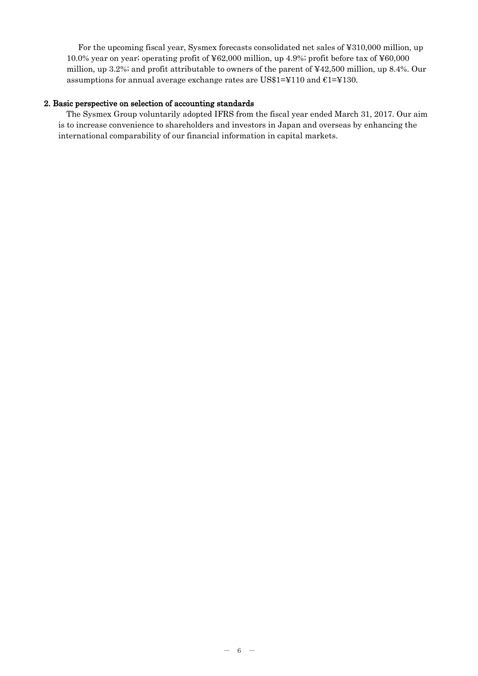For the upcoming fiscal year, Sysmex forecasts consolidated net sales of ¥310,000 million, up 10.0% year on year; operating profit of ¥62,000 million, up 4.9%; profit before tax of ¥60,000 million, up 3.2%; and profit attributable to owners of the parent of ¥42,500 million, up 8.4%. Our assumptions for annual average exchange rates are US\$1=¥110 and  $E1=$ ¥130.

## 2. Basic perspective on selection of accounting standards

The Sysmex Group voluntarily adopted IFRS from the fiscal year ended March 31, 2017. Our aim is to increase convenience to shareholders and investors in Japan and overseas by enhancing the international comparability of our financial information in capital markets.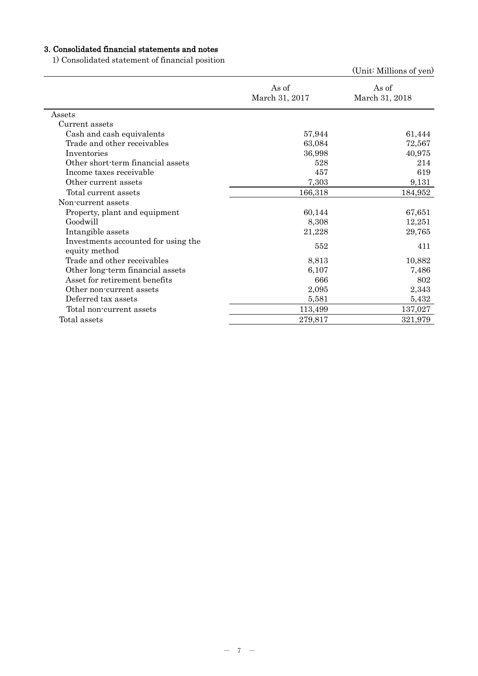# 3. Consolidated financial statements and notes

1) Consolidated statement of financial position

|                                                      |                         | (Unit: Millions of yen) |
|------------------------------------------------------|-------------------------|-------------------------|
|                                                      | As of<br>March 31, 2017 | As of<br>March 31, 2018 |
| Assets                                               |                         |                         |
| Current assets                                       |                         |                         |
| Cash and cash equivalents                            | 57,944                  | 61,444                  |
| Trade and other receivables                          | 63,084                  | 72,567                  |
| Inventories                                          | 36,998                  | 40,975                  |
| Other short-term financial assets                    | 528                     | 214                     |
| Income taxes receivable                              | 457                     | 619                     |
| Other current assets                                 | 7,303                   | 9,131                   |
| Total current assets                                 | 166,318                 | 184,952                 |
| Non-current assets                                   |                         |                         |
| Property, plant and equipment                        | 60,144                  | 67,651                  |
| Goodwill                                             | 8,308                   | 12,251                  |
| Intangible assets                                    | 21,228                  | 29,765                  |
| Investments accounted for using the<br>equity method | 552                     | 411                     |
| Trade and other receivables                          | 8,813                   | 10,882                  |
| Other long-term financial assets                     | 6,107                   | 7,486                   |
| Asset for retirement benefits                        | 666                     | 802                     |
| Other non-current assets                             | 2,095                   | 2,343                   |
| Deferred tax assets                                  | 5,581                   | 5,432                   |
| Total non-current assets                             | 113,499                 | 137,027                 |
| Total assets                                         | 279,817                 | 321,979                 |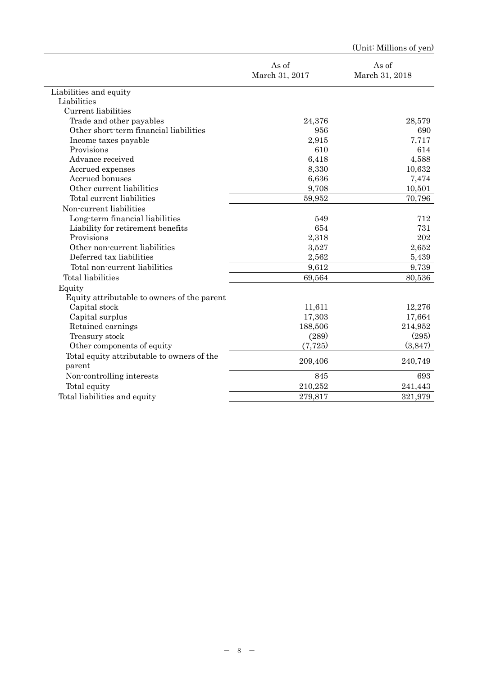|                                             |                         | (Unit: Millions of yen) |
|---------------------------------------------|-------------------------|-------------------------|
|                                             | As of<br>March 31, 2017 | As of<br>March 31, 2018 |
| Liabilities and equity                      |                         |                         |
| Liabilities                                 |                         |                         |
| Current liabilities                         |                         |                         |
| Trade and other payables                    | 24,376                  | 28,579                  |
| Other short-term financial liabilities      | 956                     | 690                     |
| Income taxes payable                        | 2,915                   | 7,717                   |
| Provisions                                  | 610                     | 614                     |
| Advance received                            | 6,418                   | 4,588                   |
| Accrued expenses                            | 8,330                   | 10,632                  |
| Accrued bonuses                             | 6,636                   | 7,474                   |
| Other current liabilities                   | 9,708                   | 10,501                  |
| Total current liabilities                   | 59,952                  | 70,796                  |
| Non-current liabilities                     |                         |                         |
| Long-term financial liabilities             | 549                     | 712                     |
| Liability for retirement benefits           | 654                     | 731                     |
| Provisions                                  | 2,318                   | 202                     |
| Other non-current liabilities               | 3,527                   | 2,652                   |
| Deferred tax liabilities                    | 2,562                   | 5,439                   |
| Total non-current liabilities               | 9,612                   | 9,739                   |
| Total liabilities                           | 69,564                  | 80,536                  |
| Equity                                      |                         |                         |
| Equity attributable to owners of the parent |                         |                         |
| Capital stock                               | 11,611                  | 12,276                  |
| Capital surplus                             | 17,303                  | 17,664                  |
| Retained earnings                           | 188,506                 | 214,952                 |
| Treasury stock                              | (289)                   | (295)                   |
| Other components of equity                  | (7, 725)                | (3,847)                 |
| Total equity attributable to owners of the  |                         |                         |
| parent                                      | 209,406                 | 240,749                 |
| Non-controlling interests                   | 845                     | 693                     |
| Total equity                                | 210,252                 | 241,443                 |
| Total liabilities and equity                | 279,817                 | 321,979                 |
|                                             |                         |                         |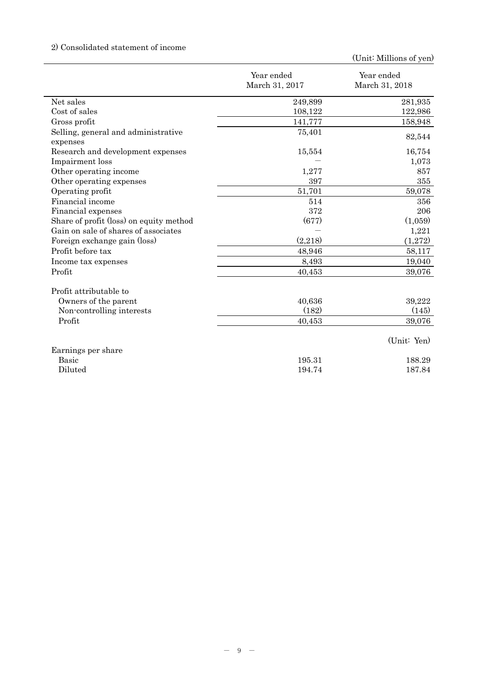# 2) Consolidated statement of income

|                                                 | Year ended<br>March 31, 2017 | Year ended<br>March 31, 2018 |
|-------------------------------------------------|------------------------------|------------------------------|
|                                                 |                              |                              |
| Net sales                                       | 249,899                      | 281,935                      |
| Cost of sales                                   | 108,122                      | 122,986                      |
| Gross profit                                    | 141,777                      | 158,948                      |
| Selling, general and administrative<br>expenses | 75,401                       | 82,544                       |
| Research and development expenses               | 15,554                       | 16,754                       |
| Impairment loss                                 |                              | 1,073                        |
| Other operating income                          | 1,277                        | 857                          |
| Other operating expenses                        | 397                          | 355                          |
| Operating profit                                | 51,701                       | 59,078                       |
| Financial income                                | 514                          | 356                          |
| Financial expenses                              | 372                          | 206                          |
| Share of profit (loss) on equity method         | (677)                        | (1,059)                      |
| Gain on sale of shares of associates            |                              | 1,221                        |
| Foreign exchange gain (loss)                    | (2,218)                      | (1,272)                      |
| Profit before tax                               | 48,946                       | 58,117                       |
| Income tax expenses                             | 8,493                        | 19,040                       |
| Profit                                          | 40,453                       | 39,076                       |
| Profit attributable to                          |                              |                              |
| Owners of the parent                            | 40,636                       | 39,222                       |
| Non-controlling interests                       | (182)                        | (145)                        |
| Profit                                          | 40,453                       | 39,076                       |
|                                                 |                              | (Unit: Yen)                  |
| Earnings per share                              |                              |                              |
| <b>Basic</b>                                    | 195.31                       | 188.29                       |
| Diluted                                         | 194.74                       | 187.84                       |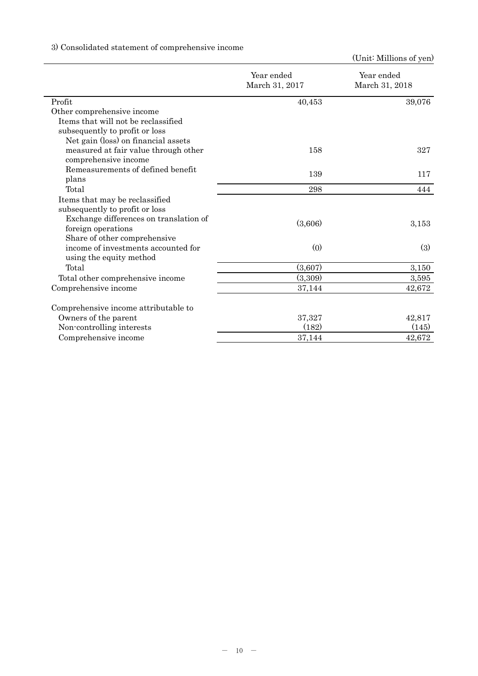# 3) Consolidated statement of comprehensive income

|                                        | Year ended<br>March 31, 2017 | Year ended<br>March 31, 2018 |  |
|----------------------------------------|------------------------------|------------------------------|--|
| Profit                                 | 40,453                       | 39,076                       |  |
| Other comprehensive income             |                              |                              |  |
| Items that will not be reclassified    |                              |                              |  |
| subsequently to profit or loss         |                              |                              |  |
| Net gain (loss) on financial assets    |                              |                              |  |
| measured at fair value through other   | 158                          | 327                          |  |
| comprehensive income                   |                              |                              |  |
| Remeasurements of defined benefit      | 139                          | 117                          |  |
| plans                                  |                              |                              |  |
| Total                                  | 298                          | 444                          |  |
| Items that may be reclassified         |                              |                              |  |
| subsequently to profit or loss         |                              |                              |  |
| Exchange differences on translation of | (3,606)                      |                              |  |
| foreign operations                     |                              | 3,153                        |  |
| Share of other comprehensive           |                              |                              |  |
| income of investments accounted for    | (0)                          | (3)                          |  |
| using the equity method                |                              |                              |  |
| Total                                  | (3,607)                      | 3,150                        |  |
| Total other comprehensive income       | (3,309)                      | 3,595                        |  |
| Comprehensive income                   | 37,144                       | 42,672                       |  |
| Comprehensive income attributable to   |                              |                              |  |
| Owners of the parent                   | 37,327                       | 42,817                       |  |
| Non-controlling interests              | (182)                        | (145)                        |  |
| Comprehensive income                   | 37,144                       | 42,672                       |  |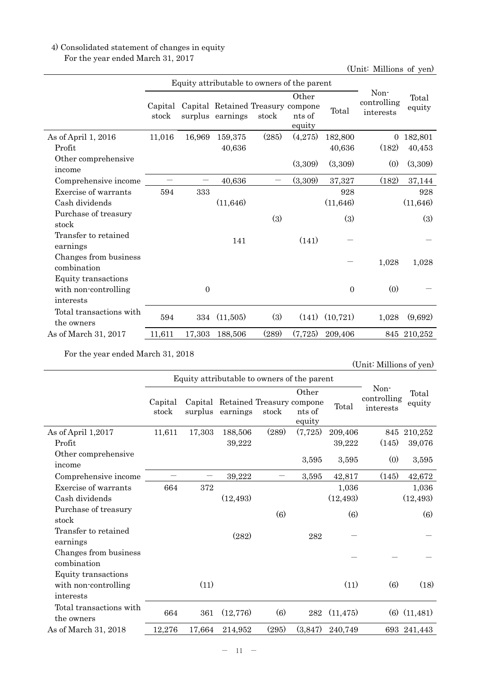# 4) Consolidated statement of changes in equity For the year ended March 31, 2017

(Unit: Millions of yen)

|                                                          |                  | Equity attributable to owners of the parent |                                                       |       |                           |                |                                  |                 |
|----------------------------------------------------------|------------------|---------------------------------------------|-------------------------------------------------------|-------|---------------------------|----------------|----------------------------------|-----------------|
|                                                          | Capital<br>stock |                                             | Capital Retained Treasury compone<br>surplus earnings | stock | Other<br>nts of<br>equity | Total          | Non-<br>controlling<br>interests | Total<br>equity |
| As of April 1, $2016$                                    | 11,016           | 16,969                                      | 159,375                                               | (285) | (4,275)                   | 182,800        | $\theta$                         | 182,801         |
| Profit                                                   |                  |                                             | 40,636                                                |       |                           | 40,636         | (182)                            | 40,453          |
| Other comprehensive<br>income                            |                  |                                             |                                                       |       | (3,309)                   | (3,309)        | (0)                              | (3,309)         |
| Comprehensive income                                     |                  |                                             | 40,636                                                |       | (3,309)                   | 37,327         | (182)                            | 37,144          |
| Exercise of warrants                                     | 594              | 333                                         |                                                       |       |                           | 928            |                                  | 928             |
| Cash dividends                                           |                  |                                             | (11, 646)                                             |       |                           | (11, 646)      |                                  | (11, 646)       |
| Purchase of treasury<br>stock                            |                  |                                             |                                                       | (3)   |                           | (3)            |                                  | (3)             |
| Transfer to retained<br>earnings                         |                  |                                             | 141                                                   |       | (141)                     |                |                                  |                 |
| Changes from business<br>combination                     |                  |                                             |                                                       |       |                           |                | 1,028                            | 1,028           |
| Equity transactions<br>with non-controlling<br>interests |                  | $\overline{0}$                              |                                                       |       |                           | $\overline{0}$ | (0)                              |                 |
| Total transactions with<br>the owners                    | 594              | 334                                         | (11,505)                                              | (3)   | (141)                     | (10, 721)      | 1,028                            | (9,692)         |
| As of March 31, 2017                                     | 11,611           | 17,303                                      | 188,506                                               | (289) | (7, 725)                  | 209,406        |                                  | 845 210,252     |

For the year ended March 31, 2018

|                                       |                  | Equity attributable to owners of the parent |                                               |       |                           |           |                                  |                  |
|---------------------------------------|------------------|---------------------------------------------|-----------------------------------------------|-------|---------------------------|-----------|----------------------------------|------------------|
|                                       | Capital<br>stock | surplus                                     | Capital Retained Treasury compone<br>earnings | stock | Other<br>nts of<br>equity | Total     | Non-<br>controlling<br>interests | Total<br>equity  |
| As of April 1,2017                    | 11,611           | 17,303                                      | 188,506                                       | (289) | (7,725)                   | 209,406   | 845                              | 210,252          |
| Profit                                |                  |                                             | 39,222                                        |       |                           | 39,222    | (145)                            | 39,076           |
| Other comprehensive<br>income         |                  |                                             |                                               |       | 3,595                     | 3,595     | (0)                              | 3,595            |
| Comprehensive income                  |                  |                                             | 39,222                                        |       | 3,595                     | 42,817    | (145)                            | 42,672           |
| Exercise of warrants                  | 664              | 372                                         |                                               |       |                           | 1,036     |                                  | 1,036            |
| Cash dividends                        |                  |                                             | (12, 493)                                     |       |                           | (12, 493) |                                  | (12, 493)        |
| Purchase of treasury<br>stock         |                  |                                             |                                               | (6)   |                           | (6)       |                                  | (6)              |
| Transfer to retained<br>earnings      |                  |                                             | (282)                                         |       | 282                       |           |                                  |                  |
| Changes from business<br>combination  |                  |                                             |                                               |       |                           |           |                                  |                  |
| Equity transactions                   |                  |                                             |                                               |       |                           |           |                                  |                  |
| with non-controlling                  |                  | (11)                                        |                                               |       |                           | (11)      | (6)                              | (18)             |
| interests                             |                  |                                             |                                               |       |                           |           |                                  |                  |
| Total transactions with<br>the owners | 664              | 361                                         | (12, 776)                                     | (6)   | 282                       | (11, 475) |                                  | $(6)$ $(11,481)$ |
| As of March 31, 2018                  | 12,276           | 17,664                                      | 214,952                                       | (295) | (3,847)                   | 240,749   |                                  | 693 241,443      |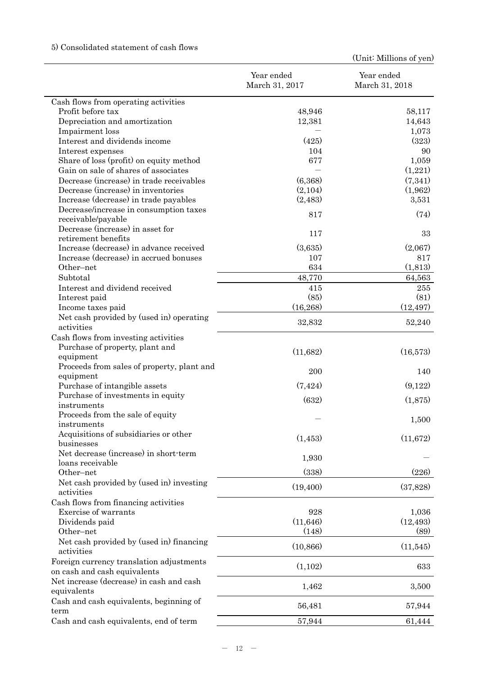# 5) Consolidated statement of cash flows

|                                                        | Year ended<br>March 31, 2017 | Year ended<br>March 31, 2018 |
|--------------------------------------------------------|------------------------------|------------------------------|
| Cash flows from operating activities                   |                              |                              |
| Profit before tax                                      | 48,946                       | 58,117                       |
| Depreciation and amortization                          | 12,381                       | 14,643                       |
| Impairment loss                                        |                              | 1,073                        |
| Interest and dividends income                          | (425)                        | (323)                        |
| Interest expenses                                      | 104                          | 90                           |
| Share of loss (profit) on equity method                | 677                          | 1,059                        |
| Gain on sale of shares of associates                   |                              | (1,221)                      |
| Decrease (increase) in trade receivables               | (6,368)                      | (7,341)                      |
| Decrease (increase) in inventories                     | (2,104)                      | (1,962)                      |
| Increase (decrease) in trade payables                  | (2,483)                      | 3,531                        |
| Decrease/increase in consumption taxes                 |                              |                              |
| receivable/payable                                     | 817                          | (74)                         |
| Decrease (increase) in asset for                       |                              |                              |
| retirement benefits                                    | 117                          | 33                           |
| Increase (decrease) in advance received                | (3,635)                      | (2,067)                      |
| Increase (decrease) in accrued bonuses                 | 107                          | 817                          |
| Other-net                                              | 634                          | (1,813)                      |
| Subtotal                                               | 48,770                       | 64,563                       |
| Interest and dividend received                         | 415                          | 255                          |
| Interest paid                                          | (85)                         | (81)                         |
| Income taxes paid                                      | (16, 268)                    | (12, 497)                    |
| Net cash provided by (used in) operating               |                              |                              |
| activities                                             | 32,832                       | 52,240                       |
| Cash flows from investing activities                   |                              |                              |
| Purchase of property, plant and                        |                              |                              |
| equipment                                              | (11,682)                     | (16,573)                     |
| Proceeds from sales of property, plant and             |                              |                              |
| equipment                                              | 200                          | 140                          |
| Purchase of intangible assets                          | (7, 424)                     | (9,122)                      |
| Purchase of investments in equity                      |                              |                              |
| instruments                                            | (632)                        | (1,875)                      |
| Proceeds from the sale of equity                       |                              |                              |
| instruments                                            |                              | 1,500                        |
| Acquisitions of subsidiaries or other                  | (1,453)                      | (11,672)                     |
| businesses                                             |                              |                              |
| Net decrease (increase) in short-term                  |                              |                              |
| loans receivable                                       | 1,930                        |                              |
| Other-net                                              | (338)                        | (226)                        |
| Net cash provided by (used in) investing               | (19, 400)                    | (37,828)                     |
| activities                                             |                              |                              |
| Cash flows from financing activities                   |                              |                              |
| Exercise of warrants                                   | 928                          | 1,036                        |
| Dividends paid                                         | (11, 646)                    | (12, 493)                    |
| Other-net                                              | (148)                        | (89)                         |
| Net cash provided by (used in) financing<br>activities | (10, 866)                    | (11,545)                     |
| Foreign currency translation adjustments               |                              |                              |
| on cash and cash equivalents                           | (1,102)                      | 633                          |
| Net increase (decrease) in cash and cash               |                              |                              |
| equivalents                                            | 1,462                        | 3,500                        |
| Cash and cash equivalents, beginning of                |                              |                              |
| term                                                   | 56,481                       | 57,944                       |
| Cash and cash equivalents, end of term                 | 57,944                       | 61,444                       |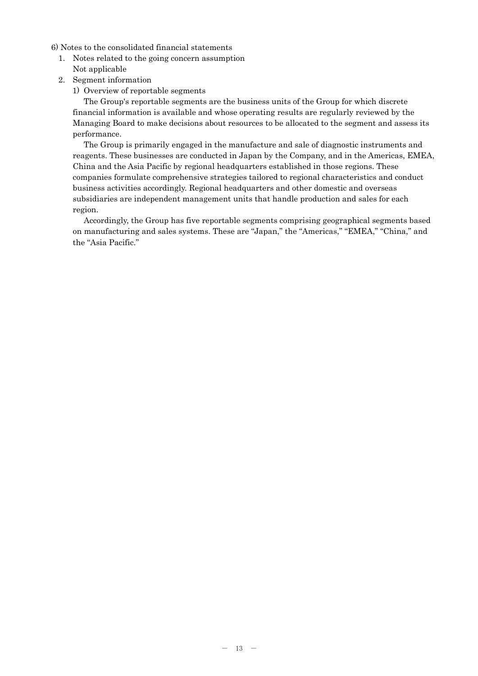6) Notes to the consolidated financial statements

- 1. Notes related to the going concern assumption Not applicable
- 2. Segment information
	- 1) Overview of reportable segments

The Group's reportable segments are the business units of the Group for which discrete financial information is available and whose operating results are regularly reviewed by the Managing Board to make decisions about resources to be allocated to the segment and assess its performance.

The Group is primarily engaged in the manufacture and sale of diagnostic instruments and reagents. These businesses are conducted in Japan by the Company, and in the Americas, EMEA, China and the Asia Pacific by regional headquarters established in those regions. These companies formulate comprehensive strategies tailored to regional characteristics and conduct business activities accordingly. Regional headquarters and other domestic and overseas subsidiaries are independent management units that handle production and sales for each region.

Accordingly, the Group has five reportable segments comprising geographical segments based on manufacturing and sales systems. These are "Japan," the "Americas," "EMEA," "China," and the "Asia Pacific."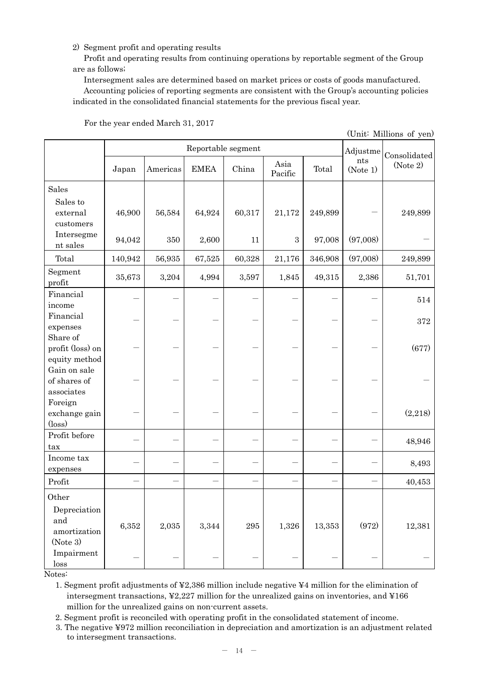## 2) Segment profit and operating results

Profit and operating results from continuing operations by reportable segment of the Group are as follows;

Intersegment sales are determined based on market prices or costs of goods manufactured.

Accounting policies of reporting segments are consistent with the Group's accounting policies indicated in the consolidated financial statements for the previous fiscal year.

|                                               |         |          |             |         |                 |         |                 | (Unit: Millions of yen)  |
|-----------------------------------------------|---------|----------|-------------|---------|-----------------|---------|-----------------|--------------------------|
|                                               |         |          | Adjustme    |         |                 |         |                 |                          |
|                                               | Japan   | Americas | <b>EMEA</b> | China   | Asia<br>Pacific | Total   | nts<br>(Note 1) | Consolidated<br>(Note 2) |
| Sales                                         |         |          |             |         |                 |         |                 |                          |
| Sales to<br>external<br>customers             | 46,900  | 56,584   | 64,924      | 60,317  | 21,172          | 249,899 |                 | 249,899                  |
| Intersegme<br>nt sales                        | 94,042  | 350      | 2,600       | 11      | $\sqrt{3}$      | 97,008  | (97,008)        |                          |
| Total                                         | 140,942 | 56,935   | 67,525      | 60,328  | 21,176          | 346,908 | (97,008)        | 249,899                  |
| Segment<br>profit                             | 35,673  | 3,204    | 4,994       | 3,597   | 1,845           | 49,315  | 2,386           | 51,701                   |
| Financial<br>income                           |         |          |             |         |                 |         |                 | 514                      |
| Financial<br>expenses                         |         |          |             |         |                 |         |                 | 372                      |
| Share of<br>profit (loss) on<br>equity method |         |          |             |         |                 |         |                 | (677)                    |
| Gain on sale<br>of shares of<br>associates    |         |          |             |         |                 |         |                 |                          |
| Foreign<br>exchange gain<br>$(\text{loss})$   |         |          |             |         |                 |         |                 | (2,218)                  |
| Profit before<br>tax                          |         |          |             |         |                 |         |                 | 48,946                   |
| Income tax<br>expenses                        |         |          |             |         |                 |         |                 | 8,493                    |
| Profit                                        |         |          |             |         |                 |         |                 | 40,453                   |
| Other<br>Depreciation                         |         |          |             |         |                 |         |                 |                          |
| and<br>amortization<br>(Note 3)               | 6,352   | 2,035    | 3,344       | $\,295$ | 1,326           | 13,353  | (972)           | 12,381                   |
| Impairment<br>loss                            |         |          |             |         |                 |         |                 |                          |

For the year ended March 31, 2017

Notes:

1. Segment profit adjustments of ¥2,386 million include negative ¥4 million for the elimination of intersegment transactions, ¥2,227 million for the unrealized gains on inventories, and ¥166 million for the unrealized gains on non-current assets.

2. Segment profit is reconciled with operating profit in the consolidated statement of income.

3. The negative ¥972 million reconciliation in depreciation and amortization is an adjustment related to intersegment transactions.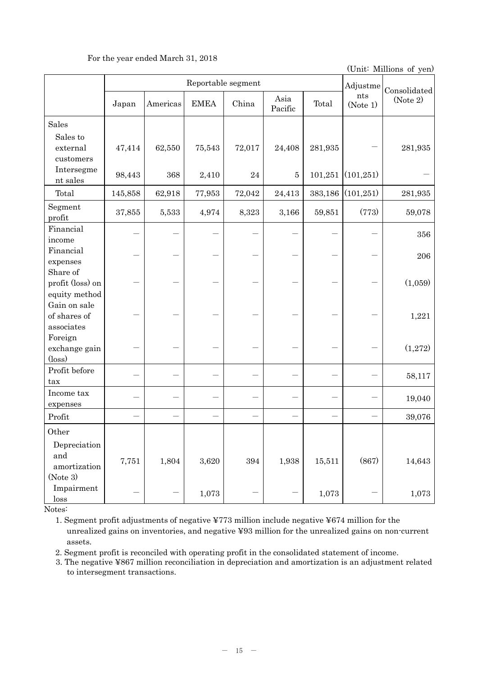## For the year ended March 31, 2018

(Unit: Millions of yen)

|                                                             | Reportable segment |          |             |          |                 |         |                 | Consolidated |
|-------------------------------------------------------------|--------------------|----------|-------------|----------|-----------------|---------|-----------------|--------------|
|                                                             | Japan              | Americas | <b>EMEA</b> | China    | Asia<br>Pacific | Total   | nts<br>(Note 1) | (Note 2)     |
| Sales                                                       |                    |          |             |          |                 |         |                 |              |
| Sales to<br>external<br>customers                           | 47,414             | 62,550   | 75,543      | 72,017   | 24,408          | 281,935 |                 | 281,935      |
| Intersegme<br>nt sales                                      | 98,443             | 368      | 2,410       | $\bf 24$ | 5               | 101,251 | (101, 251)      |              |
| Total                                                       | 145,858            | 62,918   | 77,953      | 72,042   | 24,413          | 383,186 | (101, 251)      | 281,935      |
| Segment<br>profit                                           | 37,855             | 5,533    | 4,974       | 8,323    | 3,166           | 59,851  | (773)           | 59,078       |
| Financial<br>income                                         |                    |          |             |          |                 |         |                 | 356          |
| Financial<br>expenses                                       |                    |          |             |          |                 |         |                 | 206          |
| Share of<br>profit (loss) on                                |                    |          |             |          |                 |         |                 | (1,059)      |
| equity method<br>Gain on sale<br>of shares of<br>associates |                    |          |             |          |                 |         |                 | 1,221        |
| Foreign<br>exchange gain<br>$(\text{loss})$                 |                    |          |             |          |                 |         |                 | (1,272)      |
| Profit before<br>tax                                        |                    |          |             |          |                 |         |                 | 58,117       |
| Income tax<br>expenses                                      |                    |          |             |          |                 |         |                 | 19,040       |
| Profit                                                      |                    |          |             |          |                 |         |                 | 39,076       |
| Other                                                       |                    |          |             |          |                 |         |                 |              |
| Depreciation<br>and<br>amortization<br>(Note 3)             | 7,751              | 1,804    | $3,\!620$   | 394      | 1,938           | 15,511  | (867)           | 14,643       |
| Impairment<br>loss                                          |                    |          | 1,073       |          |                 | 1,073   |                 | 1,073        |

Notes:

1. Segment profit adjustments of negative ¥773 million include negative ¥674 million for the unrealized gains on inventories, and negative ¥93 million for the unrealized gains on non-current assets.

2. Segment profit is reconciled with operating profit in the consolidated statement of income.

3. The negative ¥867 million reconciliation in depreciation and amortization is an adjustment related to intersegment transactions.